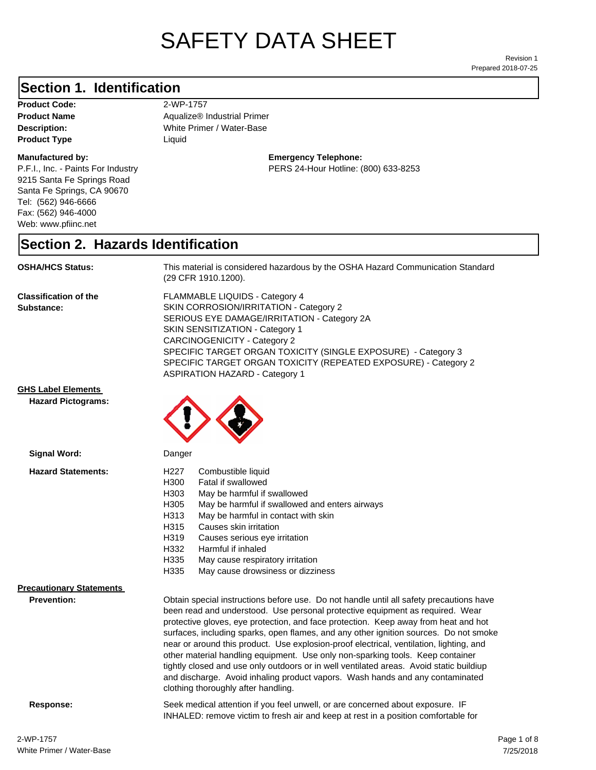# SAFETY DATA SHEET

Prepared 2018-07-25 Revision 1

#### **Section 1. Identification**

**Product Code:** 2-WP-1757 **Product Type Liquid Liquid** 

#### **Manufactured by:**

P.F.I., Inc. - Paints For Industry 9215 Santa Fe Springs Road Santa Fe Springs, CA 90670 Tel: (562) 946-6666 Fax: (562) 946-4000 Web: www.pfiinc.net

**Description:** White Primer / Water-Base **Product Name Aqualize®** Industrial Primer

#### **Emergency Telephone:** PERS 24-Hour Hotline: (800) 633-8253

#### **Section 2. Hazards Identification**

**OSHA/HCS Status:** This material is considered hazardous by the OSHA Hazard Communication Standard (29 CFR 1910.1200).

**Classification of the Substance:**

FLAMMABLE LIQUIDS - Category 4 SKIN CORROSION/IRRITATION - Category 2 SERIOUS EYE DAMAGE/IRRITATION - Category 2A SKIN SENSITIZATION - Category 1 CARCINOGENICITY - Category 2 SPECIFIC TARGET ORGAN TOXICITY (SINGLE EXPOSURE) - Category 3 SPECIFIC TARGET ORGAN TOXICITY (REPEATED EXPOSURE) - Category 2 ASPIRATION HAZARD - Category 1

and discharge. Avoid inhaling product vapors. Wash hands and any contaminated

INHALED: remove victim to fresh air and keep at rest in a position comfortable for

**GHS Label Elements**

**Hazard Pictograms:**



| Signal Word:                                          | Danger                                                                                                                                                                                                                                                                                                                                                                                                                                                                                                                                                                                                                           |  |
|-------------------------------------------------------|----------------------------------------------------------------------------------------------------------------------------------------------------------------------------------------------------------------------------------------------------------------------------------------------------------------------------------------------------------------------------------------------------------------------------------------------------------------------------------------------------------------------------------------------------------------------------------------------------------------------------------|--|
| <b>Hazard Statements:</b>                             | H <sub>22</sub> 7<br>Combustible liquid<br>H300<br>Fatal if swallowed<br>H303<br>May be harmful if swallowed<br>H305<br>May be harmful if swallowed and enters airways<br>H313<br>May be harmful in contact with skin                                                                                                                                                                                                                                                                                                                                                                                                            |  |
|                                                       | H315<br>Causes skin irritation<br>H319<br>Causes serious eye irritation<br>H332<br>Harmful if inhaled<br>H335<br>May cause respiratory irritation<br>H335<br>May cause drowsiness or dizziness                                                                                                                                                                                                                                                                                                                                                                                                                                   |  |
| <b>Precautionary Statements</b><br><b>Prevention:</b> | Obtain special instructions before use. Do not handle until all safety precautions have<br>been read and understood. Use personal protective equipment as required. Wear<br>protective gloves, eye protection, and face protection. Keep away from heat and hot<br>surfaces, including sparks, open flames, and any other ignition sources. Do not smoke<br>near or around this product. Use explosion-proof electrical, ventilation, lighting, and<br>other material handling equipment. Use only non-sparking tools. Keep container<br>tightly closed and use only outdoors or in well ventilated areas. Avoid static buildiup |  |

clothing thoroughly after handling.

**Response:** Seek medical attention if you feel unwell, or are concerned about exposure. IF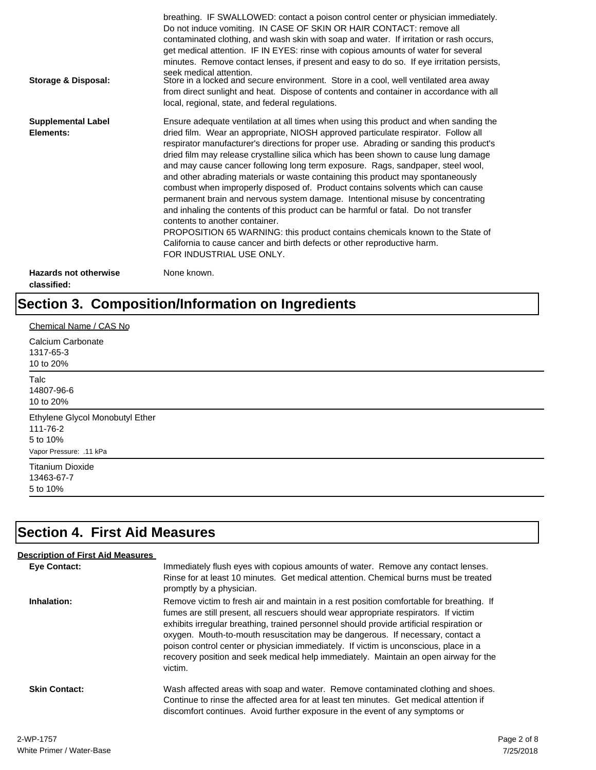| Storage & Disposal:                         | breathing. IF SWALLOWED: contact a poison control center or physician immediately.<br>Do not induce vomiting. IN CASE OF SKIN OR HAIR CONTACT: remove all<br>contaminated clothing, and wash skin with soap and water. If irritation or rash occurs,<br>get medical attention. IF IN EYES: rinse with copious amounts of water for several<br>minutes. Remove contact lenses, if present and easy to do so. If eye irritation persists,<br>seek medical attention.<br>Store in a locked and secure environment. Store in a cool, well ventilated area away<br>from direct sunlight and heat. Dispose of contents and container in accordance with all<br>local, regional, state, and federal regulations.                                                                                                                                                                                                                                                                                                                |
|---------------------------------------------|--------------------------------------------------------------------------------------------------------------------------------------------------------------------------------------------------------------------------------------------------------------------------------------------------------------------------------------------------------------------------------------------------------------------------------------------------------------------------------------------------------------------------------------------------------------------------------------------------------------------------------------------------------------------------------------------------------------------------------------------------------------------------------------------------------------------------------------------------------------------------------------------------------------------------------------------------------------------------------------------------------------------------|
| <b>Supplemental Label</b><br>Elements:      | Ensure adequate ventilation at all times when using this product and when sanding the<br>dried film. Wear an appropriate, NIOSH approved particulate respirator. Follow all<br>respirator manufacturer's directions for proper use. Abrading or sanding this product's<br>dried film may release crystalline silica which has been shown to cause lung damage<br>and may cause cancer following long term exposure. Rags, sandpaper, steel wool,<br>and other abrading materials or waste containing this product may spontaneously<br>combust when improperly disposed of. Product contains solvents which can cause<br>permanent brain and nervous system damage. Intentional misuse by concentrating<br>and inhaling the contents of this product can be harmful or fatal. Do not transfer<br>contents to another container.<br>PROPOSITION 65 WARNING: this product contains chemicals known to the State of<br>California to cause cancer and birth defects or other reproductive harm.<br>FOR INDUSTRIAL USE ONLY. |
| <b>Hazards not otherwise</b><br>classified: | None known.                                                                                                                                                                                                                                                                                                                                                                                                                                                                                                                                                                                                                                                                                                                                                                                                                                                                                                                                                                                                              |

## **Section 3. Composition/Information on Ingredients**

| Chemical Name / CAS No          |  |
|---------------------------------|--|
| Calcium Carbonate<br>1317-65-3  |  |
| 10 to 20%                       |  |
| Talc                            |  |
| 14807-96-6                      |  |
| 10 to 20%                       |  |
| Ethylene Glycol Monobutyl Ether |  |
| 111-76-2                        |  |
| 5 to 10%                        |  |
| Vapor Pressure: .11 kPa         |  |
| <b>Titanium Dioxide</b>         |  |
| 13463-67-7                      |  |
| 5 to 10%                        |  |

## **Section 4. First Aid Measures**

| <b>Description of First Aid Measures</b> |                                                                                                                                                                                                                                                                                                                                                                                                                                                                                                                                                           |
|------------------------------------------|-----------------------------------------------------------------------------------------------------------------------------------------------------------------------------------------------------------------------------------------------------------------------------------------------------------------------------------------------------------------------------------------------------------------------------------------------------------------------------------------------------------------------------------------------------------|
| Eye Contact:                             | Immediately flush eyes with copious amounts of water. Remove any contact lenses.<br>Rinse for at least 10 minutes. Get medical attention. Chemical burns must be treated<br>promptly by a physician.                                                                                                                                                                                                                                                                                                                                                      |
| Inhalation:                              | Remove victim to fresh air and maintain in a rest position comfortable for breathing. If<br>fumes are still present, all rescuers should wear appropriate respirators. If victim<br>exhibits irregular breathing, trained personnel should provide artificial respiration or<br>oxygen. Mouth-to-mouth resuscitation may be dangerous. If necessary, contact a<br>poison control center or physician immediately. If victim is unconscious, place in a<br>recovery position and seek medical help immediately. Maintain an open airway for the<br>victim. |
| <b>Skin Contact:</b>                     | Wash affected areas with soap and water. Remove contaminated clothing and shoes.<br>Continue to rinse the affected area for at least ten minutes. Get medical attention if<br>discomfort continues. Avoid further exposure in the event of any symptoms or                                                                                                                                                                                                                                                                                                |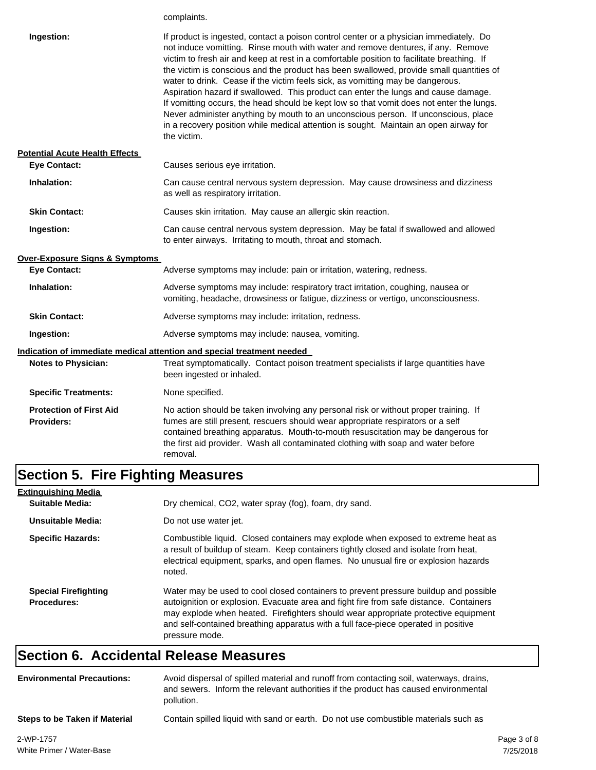|                                                     | complaints.                                                                                                                                                                                                                                                                                                                                                                                                                                                                                                                                                                                                                                                                                                                                                                                                                           |  |
|-----------------------------------------------------|---------------------------------------------------------------------------------------------------------------------------------------------------------------------------------------------------------------------------------------------------------------------------------------------------------------------------------------------------------------------------------------------------------------------------------------------------------------------------------------------------------------------------------------------------------------------------------------------------------------------------------------------------------------------------------------------------------------------------------------------------------------------------------------------------------------------------------------|--|
| Ingestion:                                          | If product is ingested, contact a poison control center or a physician immediately. Do<br>not induce vomitting. Rinse mouth with water and remove dentures, if any. Remove<br>victim to fresh air and keep at rest in a comfortable position to facilitate breathing. If<br>the victim is conscious and the product has been swallowed, provide small quantities of<br>water to drink. Cease if the victim feels sick, as vomitting may be dangerous.<br>Aspiration hazard if swallowed. This product can enter the lungs and cause damage.<br>If vomitting occurs, the head should be kept low so that vomit does not enter the lungs.<br>Never administer anything by mouth to an unconscious person. If unconscious, place<br>in a recovery position while medical attention is sought. Maintain an open airway for<br>the victim. |  |
| <b>Potential Acute Health Effects</b>               |                                                                                                                                                                                                                                                                                                                                                                                                                                                                                                                                                                                                                                                                                                                                                                                                                                       |  |
| <b>Eye Contact:</b>                                 | Causes serious eye irritation.                                                                                                                                                                                                                                                                                                                                                                                                                                                                                                                                                                                                                                                                                                                                                                                                        |  |
| Inhalation:                                         | Can cause central nervous system depression. May cause drowsiness and dizziness<br>as well as respiratory irritation.                                                                                                                                                                                                                                                                                                                                                                                                                                                                                                                                                                                                                                                                                                                 |  |
| <b>Skin Contact:</b>                                | Causes skin irritation. May cause an allergic skin reaction.                                                                                                                                                                                                                                                                                                                                                                                                                                                                                                                                                                                                                                                                                                                                                                          |  |
| Ingestion:                                          | Can cause central nervous system depression. May be fatal if swallowed and allowed<br>to enter airways. Irritating to mouth, throat and stomach.                                                                                                                                                                                                                                                                                                                                                                                                                                                                                                                                                                                                                                                                                      |  |
| Over-Exposure Signs & Symptoms                      |                                                                                                                                                                                                                                                                                                                                                                                                                                                                                                                                                                                                                                                                                                                                                                                                                                       |  |
| <b>Eye Contact:</b>                                 | Adverse symptoms may include: pain or irritation, watering, redness.                                                                                                                                                                                                                                                                                                                                                                                                                                                                                                                                                                                                                                                                                                                                                                  |  |
| Inhalation:                                         | Adverse symptoms may include: respiratory tract irritation, coughing, nausea or<br>vomiting, headache, drowsiness or fatigue, dizziness or vertigo, unconsciousness.                                                                                                                                                                                                                                                                                                                                                                                                                                                                                                                                                                                                                                                                  |  |
| <b>Skin Contact:</b>                                | Adverse symptoms may include: irritation, redness.                                                                                                                                                                                                                                                                                                                                                                                                                                                                                                                                                                                                                                                                                                                                                                                    |  |
| Ingestion:                                          | Adverse symptoms may include: nausea, vomiting.                                                                                                                                                                                                                                                                                                                                                                                                                                                                                                                                                                                                                                                                                                                                                                                       |  |
|                                                     | <u>Indication of immediate medical attention and special treatment needed</u>                                                                                                                                                                                                                                                                                                                                                                                                                                                                                                                                                                                                                                                                                                                                                         |  |
| <b>Notes to Physician:</b>                          | Treat symptomatically. Contact poison treatment specialists if large quantities have<br>been ingested or inhaled.                                                                                                                                                                                                                                                                                                                                                                                                                                                                                                                                                                                                                                                                                                                     |  |
| <b>Specific Treatments:</b>                         | None specified.                                                                                                                                                                                                                                                                                                                                                                                                                                                                                                                                                                                                                                                                                                                                                                                                                       |  |
| <b>Protection of First Aid</b><br><b>Providers:</b> | No action should be taken involving any personal risk or without proper training. If<br>fumes are still present, rescuers should wear appropriate respirators or a self<br>contained breathing apparatus. Mouth-to-mouth resuscitation may be dangerous for<br>the first aid provider. Wash all contaminated clothing with soap and water before<br>removal.                                                                                                                                                                                                                                                                                                                                                                                                                                                                          |  |

# **Section 5. Fire Fighting Measures**

| <b>Extinguishing Media</b>                        |                                                                                                                                                                                                                                                                                                                                                                              |
|---------------------------------------------------|------------------------------------------------------------------------------------------------------------------------------------------------------------------------------------------------------------------------------------------------------------------------------------------------------------------------------------------------------------------------------|
| Suitable Media:                                   | Dry chemical, CO2, water spray (fog), foam, dry sand.                                                                                                                                                                                                                                                                                                                        |
| Unsuitable Media:                                 | Do not use water jet.                                                                                                                                                                                                                                                                                                                                                        |
| <b>Specific Hazards:</b>                          | Combustible liquid. Closed containers may explode when exposed to extreme heat as<br>a result of buildup of steam. Keep containers tightly closed and isolate from heat,<br>electrical equipment, sparks, and open flames. No unusual fire or explosion hazards<br>noted.                                                                                                    |
| <b>Special Firefighting</b><br><b>Procedures:</b> | Water may be used to cool closed containers to prevent pressure buildup and possible<br>autoignition or explosion. Evacuate area and fight fire from safe distance. Containers<br>may explode when heated. Firefighters should wear appropriate protective equipment<br>and self-contained breathing apparatus with a full face-piece operated in positive<br>pressure mode. |

### **Section 6. Accidental Release Measures**

| <b>Environmental Precautions:</b> | Avoid dispersal of spilled material and runoff from contacting soil, waterways, drains,<br>and sewers. Inform the relevant authorities if the product has caused environmental<br>pollution. |
|-----------------------------------|----------------------------------------------------------------------------------------------------------------------------------------------------------------------------------------------|
| Steps to be Taken if Material     | Contain spilled liquid with sand or earth. Do not use combustible materials such as                                                                                                          |
|                                   |                                                                                                                                                                                              |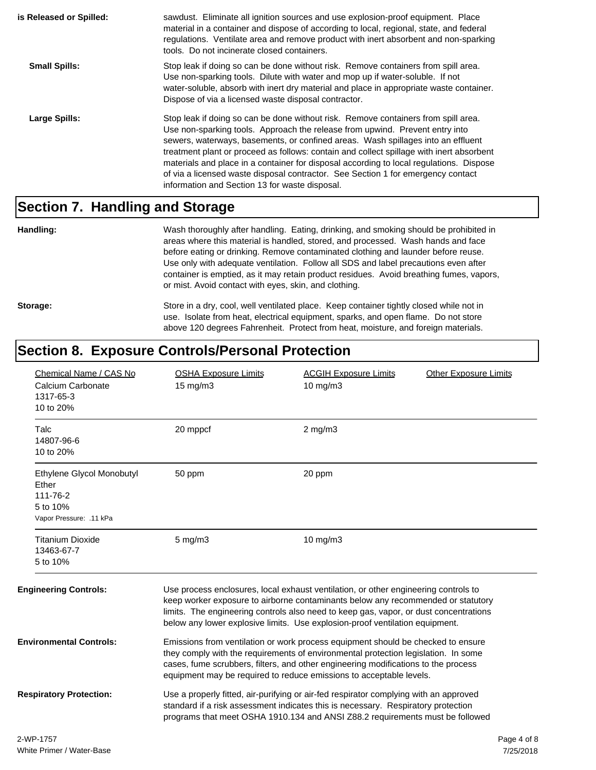| is Released or Spilled: | sawdust. Eliminate all ignition sources and use explosion-proof equipment. Place<br>material in a container and dispose of according to local, regional, state, and federal<br>regulations. Ventilate area and remove product with inert absorbent and non-sparking<br>tools. Do not incinerate closed containers.                                                                                                                                                                                                                                                                  |
|-------------------------|-------------------------------------------------------------------------------------------------------------------------------------------------------------------------------------------------------------------------------------------------------------------------------------------------------------------------------------------------------------------------------------------------------------------------------------------------------------------------------------------------------------------------------------------------------------------------------------|
| <b>Small Spills:</b>    | Stop leak if doing so can be done without risk. Remove containers from spill area.<br>Use non-sparking tools. Dilute with water and mop up if water-soluble. If not<br>water-soluble, absorb with inert dry material and place in appropriate waste container.<br>Dispose of via a licensed waste disposal contractor.                                                                                                                                                                                                                                                              |
| Large Spills:           | Stop leak if doing so can be done without risk. Remove containers from spill area.<br>Use non-sparking tools. Approach the release from upwind. Prevent entry into<br>sewers, waterways, basements, or confined areas. Wash spillages into an effluent<br>treatment plant or proceed as follows: contain and collect spillage with inert absorbent<br>materials and place in a container for disposal according to local regulations. Dispose<br>of via a licensed waste disposal contractor. See Section 1 for emergency contact<br>information and Section 13 for waste disposal. |

#### **Section 7. Handling and Storage**

**Handling:** Wash thoroughly after handling. Eating, drinking, and smoking should be prohibited in areas where this material is handled, stored, and processed. Wash hands and face before eating or drinking. Remove contaminated clothing and launder before reuse. Use only with adequate ventilation. Follow all SDS and label precautions even after container is emptied, as it may retain product residues. Avoid breathing fumes, vapors, or mist. Avoid contact with eyes, skin, and clothing.

Storage: Store in a dry, cool, well ventilated place. Keep container tightly closed while not in use. Isolate from heat, electrical equipment, sparks, and open flame. Do not store above 120 degrees Fahrenheit. Protect from heat, moisture, and foreign materials.

#### **Section 8. Exposure Controls/Personal Protection**

| Chemical Name / CAS No<br>Calcium Carbonate<br>1317-65-3<br>10 to 20%                 | <b>OSHA Exposure Limits</b><br>15 mg/m3                                                                                                                                                                                                                                                                                             | <b>ACGIH Exposure Limits</b><br><b>Other Exposure Limits</b><br>10 mg/m3                                                                                                                                                                                                                                                                         |             |
|---------------------------------------------------------------------------------------|-------------------------------------------------------------------------------------------------------------------------------------------------------------------------------------------------------------------------------------------------------------------------------------------------------------------------------------|--------------------------------------------------------------------------------------------------------------------------------------------------------------------------------------------------------------------------------------------------------------------------------------------------------------------------------------------------|-------------|
| Talc<br>14807-96-6<br>10 to 20%                                                       | 20 mppcf                                                                                                                                                                                                                                                                                                                            | $2$ mg/m $3$                                                                                                                                                                                                                                                                                                                                     |             |
| Ethylene Glycol Monobutyl<br>Ether<br>111-76-2<br>5 to 10%<br>Vapor Pressure: .11 kPa | 50 ppm                                                                                                                                                                                                                                                                                                                              | 20 ppm                                                                                                                                                                                                                                                                                                                                           |             |
| <b>Titanium Dioxide</b><br>13463-67-7<br>5 to 10%                                     | $5 \text{ mg/m}$                                                                                                                                                                                                                                                                                                                    | $10$ mg/m $3$                                                                                                                                                                                                                                                                                                                                    |             |
| <b>Engineering Controls:</b>                                                          |                                                                                                                                                                                                                                                                                                                                     | Use process enclosures, local exhaust ventilation, or other engineering controls to<br>keep worker exposure to airborne contaminants below any recommended or statutory<br>limits. The engineering controls also need to keep gas, vapor, or dust concentrations<br>below any lower explosive limits. Use explosion-proof ventilation equipment. |             |
| <b>Environmental Controls:</b>                                                        | Emissions from ventilation or work process equipment should be checked to ensure<br>they comply with the requirements of environmental protection legislation. In some<br>cases, fume scrubbers, filters, and other engineering modifications to the process<br>equipment may be required to reduce emissions to acceptable levels. |                                                                                                                                                                                                                                                                                                                                                  |             |
| <b>Respiratory Protection:</b>                                                        |                                                                                                                                                                                                                                                                                                                                     | Use a properly fitted, air-purifying or air-fed respirator complying with an approved<br>standard if a risk assessment indicates this is necessary. Respiratory protection<br>programs that meet OSHA 1910.134 and ANSI Z88.2 requirements must be followed                                                                                      |             |
| 2-WP-1757                                                                             |                                                                                                                                                                                                                                                                                                                                     |                                                                                                                                                                                                                                                                                                                                                  | Page 4 of 8 |
| White Primer / Water-Base                                                             |                                                                                                                                                                                                                                                                                                                                     |                                                                                                                                                                                                                                                                                                                                                  | 7/25/2018   |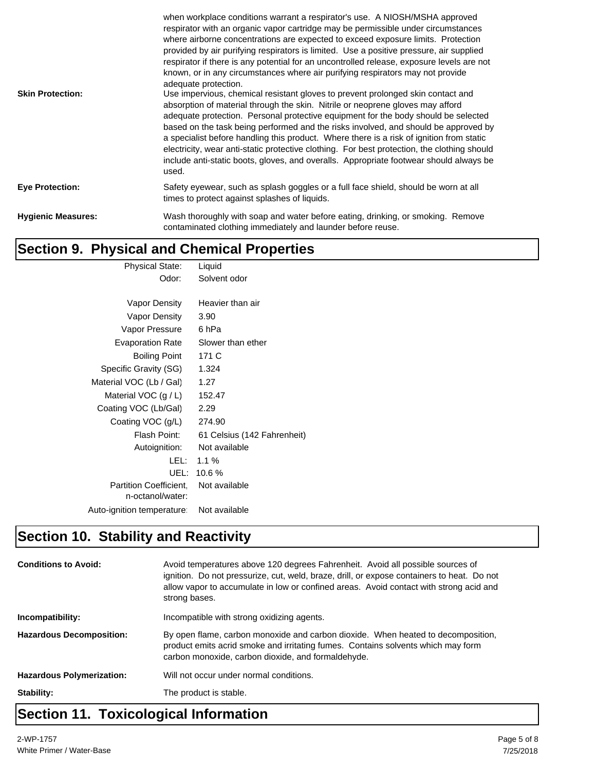| <b>Skin Protection:</b>   | when workplace conditions warrant a respirator's use. A NIOSH/MSHA approved<br>respirator with an organic vapor cartridge may be permissible under circumstances<br>where airborne concentrations are expected to exceed exposure limits. Protection<br>provided by air purifying respirators is limited. Use a positive pressure, air supplied<br>respirator if there is any potential for an uncontrolled release, exposure levels are not<br>known, or in any circumstances where air purifying respirators may not provide<br>adequate protection.<br>Use impervious, chemical resistant gloves to prevent prolonged skin contact and<br>absorption of material through the skin. Nitrile or neoprene gloves may afford<br>adequate protection. Personal protective equipment for the body should be selected<br>based on the task being performed and the risks involved, and should be approved by<br>a specialist before handling this product. Where there is a risk of ignition from static<br>electricity, wear anti-static protective clothing. For best protection, the clothing should<br>include anti-static boots, gloves, and overalls. Appropriate footwear should always be<br>used. |
|---------------------------|--------------------------------------------------------------------------------------------------------------------------------------------------------------------------------------------------------------------------------------------------------------------------------------------------------------------------------------------------------------------------------------------------------------------------------------------------------------------------------------------------------------------------------------------------------------------------------------------------------------------------------------------------------------------------------------------------------------------------------------------------------------------------------------------------------------------------------------------------------------------------------------------------------------------------------------------------------------------------------------------------------------------------------------------------------------------------------------------------------------------------------------------------------------------------------------------------------|
| <b>Eye Protection:</b>    | Safety eyewear, such as splash goggles or a full face shield, should be worn at all<br>times to protect against splashes of liquids.                                                                                                                                                                                                                                                                                                                                                                                                                                                                                                                                                                                                                                                                                                                                                                                                                                                                                                                                                                                                                                                                   |
| <b>Hygienic Measures:</b> | Wash thoroughly with soap and water before eating, drinking, or smoking. Remove<br>contaminated clothing immediately and launder before reuse.                                                                                                                                                                                                                                                                                                                                                                                                                                                                                                                                                                                                                                                                                                                                                                                                                                                                                                                                                                                                                                                         |

#### **Section 9. Physical and Chemical Properties**

|                            | <b>Physical State:</b>        | Liquid                      |
|----------------------------|-------------------------------|-----------------------------|
|                            | Odor:                         | Solvent odor                |
|                            |                               |                             |
|                            | Vapor Density                 | Heavier than air            |
|                            | Vapor Density                 | 3.90                        |
|                            | Vapor Pressure                | 6 hPa                       |
|                            | <b>Evaporation Rate</b>       | Slower than ether           |
|                            | <b>Boiling Point</b>          | 171 C                       |
| Specific Gravity (SG)      |                               | 1.324                       |
| Material VOC (Lb / Gal)    |                               | 1.27                        |
| Material VOC $(g/L)$       |                               | 152.47                      |
| Coating VOC (Lb/Gal)       |                               | 2.29                        |
| Coating VOC (g/L)          |                               | 274.90                      |
|                            | Flash Point:                  | 61 Celsius (142 Fahrenheit) |
|                            | Autoignition:                 | Not available               |
|                            | LEL:                          | $1.1\%$                     |
|                            | UEL:                          | 10.6%                       |
|                            | <b>Partition Coefficient.</b> | Not available               |
|                            | n-octanol/water:              |                             |
| Auto-ignition temperature: |                               | Not available               |
|                            |                               |                             |

### **Section 10. Stability and Reactivity**

| <b>Conditions to Avoid:</b>      | Avoid temperatures above 120 degrees Fahrenheit. Avoid all possible sources of<br>ignition. Do not pressurize, cut, weld, braze, drill, or expose containers to heat. Do not<br>allow vapor to accumulate in low or confined areas. Avoid contact with strong acid and<br>strong bases. |
|----------------------------------|-----------------------------------------------------------------------------------------------------------------------------------------------------------------------------------------------------------------------------------------------------------------------------------------|
| Incompatibility:                 | Incompatible with strong oxidizing agents.                                                                                                                                                                                                                                              |
| <b>Hazardous Decomposition:</b>  | By open flame, carbon monoxide and carbon dioxide. When heated to decomposition,<br>product emits acrid smoke and irritating fumes. Contains solvents which may form<br>carbon monoxide, carbon dioxide, and formaldehyde.                                                              |
| <b>Hazardous Polymerization:</b> | Will not occur under normal conditions.                                                                                                                                                                                                                                                 |
| Stability:                       | The product is stable.                                                                                                                                                                                                                                                                  |
|                                  |                                                                                                                                                                                                                                                                                         |

#### **Section 11. Toxicological Information**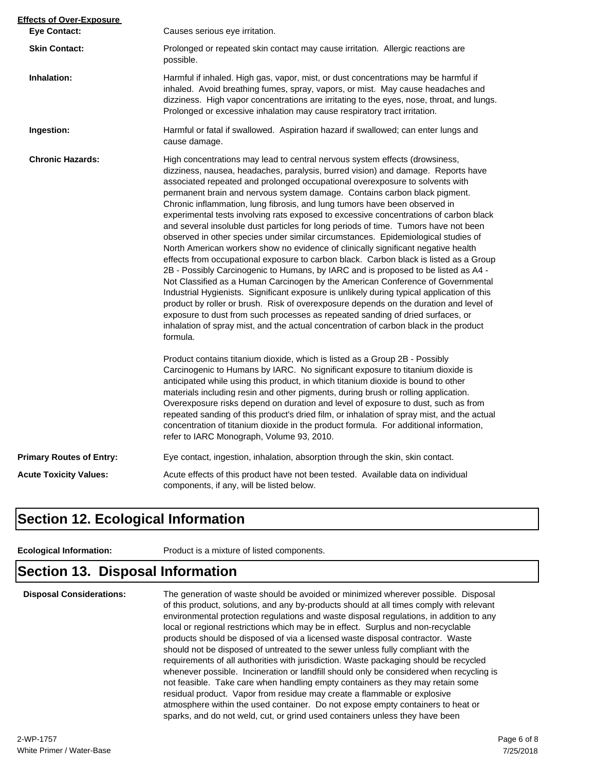| <b>Effects of Over-Exposure</b> |                                                                                                                                                                                                                                                                                                                                                                                                                                                                                                                                                                                                                                                                                                                                                                                                                                                                                                                                                                                                                                                                                                                                                                                                                                                                                                                                                                                                                      |  |
|---------------------------------|----------------------------------------------------------------------------------------------------------------------------------------------------------------------------------------------------------------------------------------------------------------------------------------------------------------------------------------------------------------------------------------------------------------------------------------------------------------------------------------------------------------------------------------------------------------------------------------------------------------------------------------------------------------------------------------------------------------------------------------------------------------------------------------------------------------------------------------------------------------------------------------------------------------------------------------------------------------------------------------------------------------------------------------------------------------------------------------------------------------------------------------------------------------------------------------------------------------------------------------------------------------------------------------------------------------------------------------------------------------------------------------------------------------------|--|
| <b>Eye Contact:</b>             | Causes serious eye irritation.                                                                                                                                                                                                                                                                                                                                                                                                                                                                                                                                                                                                                                                                                                                                                                                                                                                                                                                                                                                                                                                                                                                                                                                                                                                                                                                                                                                       |  |
| <b>Skin Contact:</b>            | Prolonged or repeated skin contact may cause irritation. Allergic reactions are<br>possible.                                                                                                                                                                                                                                                                                                                                                                                                                                                                                                                                                                                                                                                                                                                                                                                                                                                                                                                                                                                                                                                                                                                                                                                                                                                                                                                         |  |
| Inhalation:                     | Harmful if inhaled. High gas, vapor, mist, or dust concentrations may be harmful if<br>inhaled. Avoid breathing fumes, spray, vapors, or mist. May cause headaches and<br>dizziness. High vapor concentrations are irritating to the eyes, nose, throat, and lungs.<br>Prolonged or excessive inhalation may cause respiratory tract irritation.                                                                                                                                                                                                                                                                                                                                                                                                                                                                                                                                                                                                                                                                                                                                                                                                                                                                                                                                                                                                                                                                     |  |
| Ingestion:                      | Harmful or fatal if swallowed. Aspiration hazard if swallowed; can enter lungs and<br>cause damage.                                                                                                                                                                                                                                                                                                                                                                                                                                                                                                                                                                                                                                                                                                                                                                                                                                                                                                                                                                                                                                                                                                                                                                                                                                                                                                                  |  |
| <b>Chronic Hazards:</b>         | High concentrations may lead to central nervous system effects (drowsiness,<br>dizziness, nausea, headaches, paralysis, burred vision) and damage. Reports have<br>associated repeated and prolonged occupational overexposure to solvents with<br>permanent brain and nervous system damage. Contains carbon black pigment.<br>Chronic inflammation, lung fibrosis, and lung tumors have been observed in<br>experimental tests involving rats exposed to excessive concentrations of carbon black<br>and several insoluble dust particles for long periods of time. Tumors have not been<br>observed in other species under similar circumstances. Epidemiological studies of<br>North American workers show no evidence of clinically significant negative health<br>effects from occupational exposure to carbon black. Carbon black is listed as a Group<br>2B - Possibly Carcinogenic to Humans, by IARC and is proposed to be listed as A4 -<br>Not Classified as a Human Carcinogen by the American Conference of Governmental<br>Industrial Hygienists. Significant exposure is unlikely during typical application of this<br>product by roller or brush. Risk of overexposure depends on the duration and level of<br>exposure to dust from such processes as repeated sanding of dried surfaces, or<br>inhalation of spray mist, and the actual concentration of carbon black in the product<br>formula. |  |
|                                 | Product contains titanium dioxide, which is listed as a Group 2B - Possibly<br>Carcinogenic to Humans by IARC. No significant exposure to titanium dioxide is<br>anticipated while using this product, in which titanium dioxide is bound to other<br>materials including resin and other pigments, during brush or rolling application.<br>Overexposure risks depend on duration and level of exposure to dust, such as from<br>repeated sanding of this product's dried film, or inhalation of spray mist, and the actual<br>concentration of titanium dioxide in the product formula. For additional information,<br>refer to IARC Monograph, Volume 93, 2010.                                                                                                                                                                                                                                                                                                                                                                                                                                                                                                                                                                                                                                                                                                                                                    |  |
| <b>Primary Routes of Entry:</b> | Eye contact, ingestion, inhalation, absorption through the skin, skin contact.                                                                                                                                                                                                                                                                                                                                                                                                                                                                                                                                                                                                                                                                                                                                                                                                                                                                                                                                                                                                                                                                                                                                                                                                                                                                                                                                       |  |
| <b>Acute Toxicity Values:</b>   | Acute effects of this product have not been tested. Available data on individual<br>components, if any, will be listed below.                                                                                                                                                                                                                                                                                                                                                                                                                                                                                                                                                                                                                                                                                                                                                                                                                                                                                                                                                                                                                                                                                                                                                                                                                                                                                        |  |

#### **Section 12. Ecological Information**

**Ecological Information:** Product is a mixture of listed components.

#### **Section 13. Disposal Information**

**Disposal Considerations:** The generation of waste should be avoided or minimized wherever possible. Disposal of this product, solutions, and any by-products should at all times comply with relevant environmental protection regulations and waste disposal regulations, in addition to any local or regional restrictions which may be in effect. Surplus and non-recyclable products should be disposed of via a licensed waste disposal contractor. Waste should not be disposed of untreated to the sewer unless fully compliant with the requirements of all authorities with jurisdiction. Waste packaging should be recycled whenever possible. Incineration or landfill should only be considered when recycling is not feasible. Take care when handling empty containers as they may retain some residual product. Vapor from residue may create a flammable or explosive atmosphere within the used container. Do not expose empty containers to heat or sparks, and do not weld, cut, or grind used containers unless they have been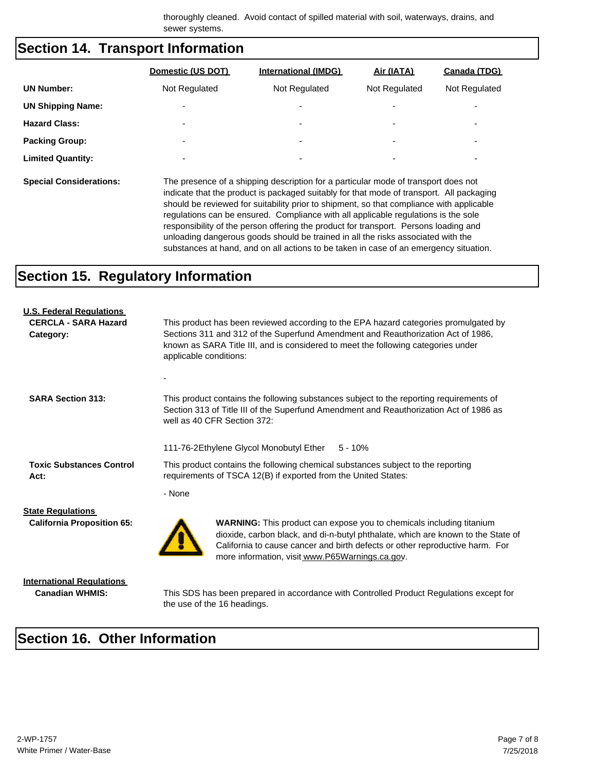thoroughly cleaned. Avoid contact of spilled material with soil, waterways, drains, and sewer systems.

#### **Section 14. Transport Information**

| Domestic (US DOT)        | <b>International (IMDG)</b> | Air (IATA)               | Canada (TDG)             |
|--------------------------|-----------------------------|--------------------------|--------------------------|
| Not Regulated            | Not Regulated               | Not Regulated            | Not Regulated            |
| -                        | -                           | -                        | -                        |
| -                        | $\overline{\phantom{0}}$    | $\overline{\phantom{0}}$ | $\overline{\phantom{0}}$ |
| $\overline{\phantom{0}}$ | ۰                           | $\overline{\phantom{0}}$ | $\overline{\phantom{0}}$ |
| ۰                        | ۰                           | $\overline{\phantom{0}}$ | $\overline{\phantom{0}}$ |
|                          |                             |                          |                          |

**Special Considerations:** The presence of a shipping description for a particular mode of transport does not indicate that the product is packaged suitably for that mode of transport. All packaging should be reviewed for suitability prior to shipment, so that compliance with applicable regulations can be ensured. Compliance with all applicable regulations is the sole responsibility of the person offering the product for transport. Persons loading and unloading dangerous goods should be trained in all the risks associated with the substances at hand, and on all actions to be taken in case of an emergency situation.

#### **Section 15. Regulatory Information**

| <b>U.S. Federal Regulations</b><br><b>CERCLA - SARA Hazard</b><br>Category: | This product has been reviewed according to the EPA hazard categories promulgated by<br>Sections 311 and 312 of the Superfund Amendment and Reauthorization Act of 1986,<br>known as SARA Title III, and is considered to meet the following categories under<br>applicable conditions:            |  |  |
|-----------------------------------------------------------------------------|----------------------------------------------------------------------------------------------------------------------------------------------------------------------------------------------------------------------------------------------------------------------------------------------------|--|--|
| <b>SARA Section 313:</b>                                                    | This product contains the following substances subject to the reporting requirements of<br>Section 313 of Title III of the Superfund Amendment and Reauthorization Act of 1986 as<br>well as 40 CFR Section 372:                                                                                   |  |  |
|                                                                             | 111-76-2Ethylene Glycol Monobutyl Ether<br>$5 - 10%$                                                                                                                                                                                                                                               |  |  |
| <b>Toxic Substances Control</b><br>Act:                                     | This product contains the following chemical substances subject to the reporting<br>requirements of TSCA 12(B) if exported from the United States:                                                                                                                                                 |  |  |
|                                                                             | - None                                                                                                                                                                                                                                                                                             |  |  |
| <b>State Regulations</b><br><b>California Proposition 65:</b>               | <b>WARNING:</b> This product can expose you to chemicals including titanium<br>dioxide, carbon black, and di-n-butyl phthalate, which are known to the State of<br>California to cause cancer and birth defects or other reproductive harm. For<br>more information, visit www.P65Warnings.ca.gov. |  |  |

**International Regulations**

**Canadian WHMIS:** This SDS has been prepared in accordance with Controlled Product Regulations except for the use of the 16 headings.

### **Section 16. Other Information**